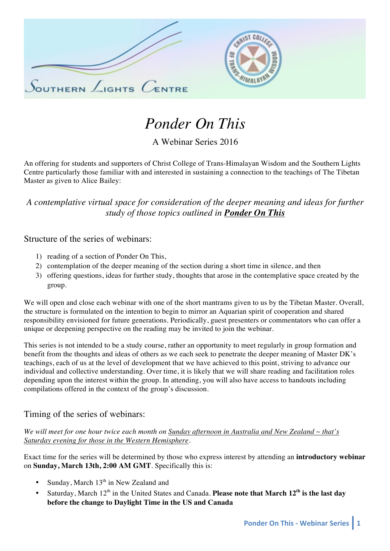



# *Ponder On This*

A Webinar Series 2016

An offering for students and supporters of Christ College of Trans-Himalayan Wisdom and the Southern Lights Centre particularly those familiar with and interested in sustaining a connection to the teachings of The Tibetan Master as given to Alice Bailey:

# *A contemplative virtual space for consideration of the deeper meaning and ideas for further study of those topics outlined in Ponder On This*

Structure of the series of webinars:

- 1) reading of a section of Ponder On This,
- 2) contemplation of the deeper meaning of the section during a short time in silence, and then
- 3) offering questions, ideas for further study, thoughts that arose in the contemplative space created by the group.

We will open and close each webinar with one of the short mantrams given to us by the Tibetan Master. Overall, the structure is formulated on the intention to begin to mirror an Aquarian spirit of cooperation and shared responsibility envisioned for future generations. Periodically, guest presenters or commentators who can offer a unique or deepening perspective on the reading may be invited to join the webinar.

This series is not intended to be a study course, rather an opportunity to meet regularly in group formation and benefit from the thoughts and ideas of others as we each seek to penetrate the deeper meaning of Master DK's teachings, each of us at the level of development that we have achieved to this point, striving to advance our individual and collective understanding. Over time, it is likely that we will share reading and facilitation roles depending upon the interest within the group. In attending, you will also have access to handouts including compilations offered in the context of the group's discussion.

### Timing of the series of webinars:

*We will meet for one hour twice each month on Sunday afternoon in Australia and New Zealand ~ that's Saturday evening for those in the Western Hemisphere.*

Exact time for the series will be determined by those who express interest by attending an **introductory webinar** on **Sunday, March 13th, 2:00 AM GMT**. Specifically this is:

- Sunday, March  $13<sup>th</sup>$  in New Zealand and
- Saturday, March 12th in the United States and Canada. **Please note that March 12th is the last day before the change to Daylight Time in the US and Canada**